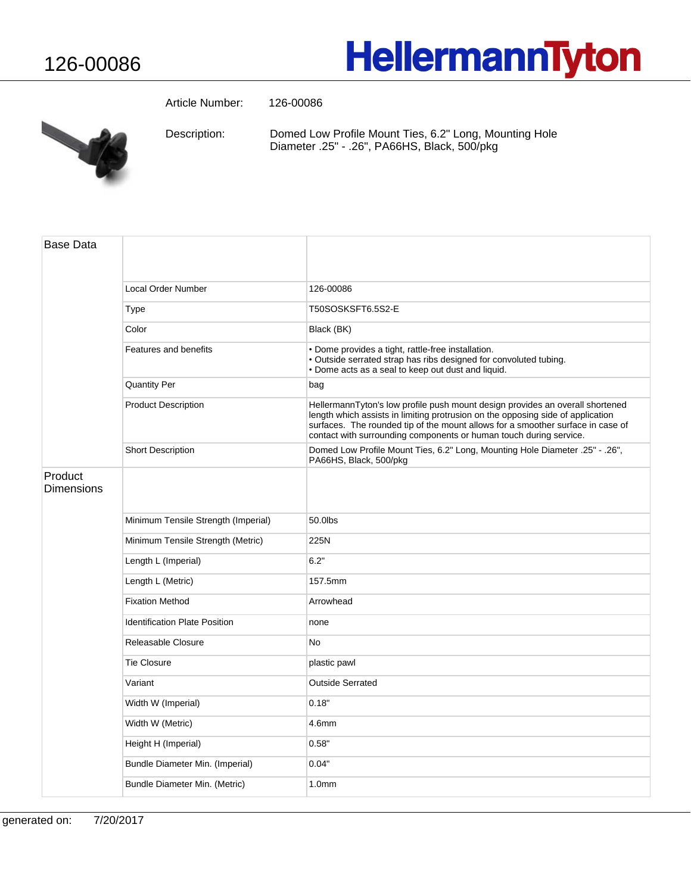## **HellermannTyton**

Article Number: 126-00086



Domed Low Profile Mount Ties, 6.2" Long, Mounting Hole Diameter .25" - .26", PA66HS, Black, 500/pkg Description:

| <b>Base Data</b>             |                                      |                                                                                                                                                                                                                                                                                                                           |
|------------------------------|--------------------------------------|---------------------------------------------------------------------------------------------------------------------------------------------------------------------------------------------------------------------------------------------------------------------------------------------------------------------------|
|                              | Local Order Number                   | 126-00086                                                                                                                                                                                                                                                                                                                 |
|                              | Type                                 | T50SOSKSFT6.5S2-E                                                                                                                                                                                                                                                                                                         |
|                              | Color                                | Black (BK)                                                                                                                                                                                                                                                                                                                |
|                              | Features and benefits                | • Dome provides a tight, rattle-free installation.<br>· Outside serrated strap has ribs designed for convoluted tubing.<br>• Dome acts as a seal to keep out dust and liquid.                                                                                                                                             |
|                              | <b>Quantity Per</b>                  | bag                                                                                                                                                                                                                                                                                                                       |
|                              | <b>Product Description</b>           | HellermannTyton's low profile push mount design provides an overall shortened<br>length which assists in limiting protrusion on the opposing side of application<br>surfaces. The rounded tip of the mount allows for a smoother surface in case of<br>contact with surrounding components or human touch during service. |
|                              | <b>Short Description</b>             | Domed Low Profile Mount Ties, 6.2" Long, Mounting Hole Diameter .25" - .26",<br>PA66HS, Black, 500/pkg                                                                                                                                                                                                                    |
| Product<br><b>Dimensions</b> |                                      |                                                                                                                                                                                                                                                                                                                           |
|                              | Minimum Tensile Strength (Imperial)  | 50.0lbs                                                                                                                                                                                                                                                                                                                   |
|                              | Minimum Tensile Strength (Metric)    | 225N                                                                                                                                                                                                                                                                                                                      |
|                              | Length L (Imperial)                  | 6.2"                                                                                                                                                                                                                                                                                                                      |
|                              | Length L (Metric)                    | 157.5mm                                                                                                                                                                                                                                                                                                                   |
|                              | <b>Fixation Method</b>               | Arrowhead                                                                                                                                                                                                                                                                                                                 |
|                              | <b>Identification Plate Position</b> | none                                                                                                                                                                                                                                                                                                                      |
|                              | Releasable Closure                   | N <sub>o</sub>                                                                                                                                                                                                                                                                                                            |
|                              | <b>Tie Closure</b>                   | plastic pawl                                                                                                                                                                                                                                                                                                              |
|                              | Variant                              | <b>Outside Serrated</b>                                                                                                                                                                                                                                                                                                   |
|                              | Width W (Imperial)                   | 0.18"                                                                                                                                                                                                                                                                                                                     |
|                              | Width W (Metric)                     | 4.6mm                                                                                                                                                                                                                                                                                                                     |
|                              | Height H (Imperial)                  | 0.58"                                                                                                                                                                                                                                                                                                                     |
|                              | Bundle Diameter Min. (Imperial)      | 0.04"                                                                                                                                                                                                                                                                                                                     |
|                              | Bundle Diameter Min. (Metric)        | 1.0 <sub>mm</sub>                                                                                                                                                                                                                                                                                                         |